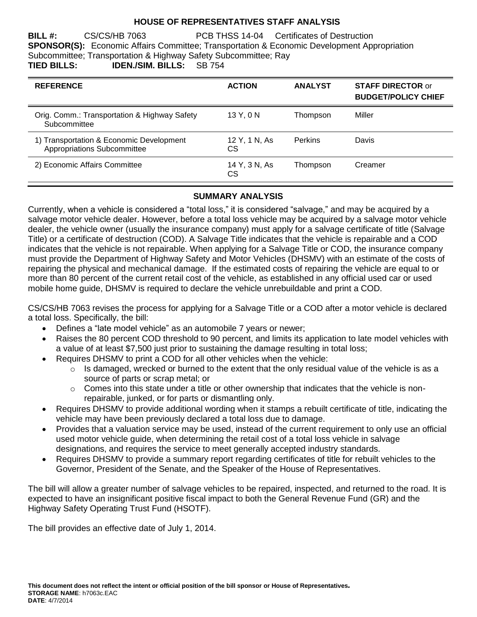#### **HOUSE OF REPRESENTATIVES STAFF ANALYSIS**

**BILL #:** CS/CS/HB 7063 PCB THSS 14-04 Certificates of Destruction **SPONSOR(S):** Economic Affairs Committee; Transportation & Economic Development Appropriation Subcommittee; Transportation & Highway Safety Subcommittee; Ray **TIED BILLS: IDEN./SIM. BILLS:** SB 754

| <b>REFERENCE</b>                                                        | <b>ACTION</b>       | <b>ANALYST</b> | <b>STAFF DIRECTOR or</b><br><b>BUDGET/POLICY CHIEF</b> |
|-------------------------------------------------------------------------|---------------------|----------------|--------------------------------------------------------|
| Orig. Comm.: Transportation & Highway Safety<br>Subcommittee            | 13 Y, 0 N           | Thompson       | Miller                                                 |
| 1) Transportation & Economic Development<br>Appropriations Subcommittee | 12 Y, 1 N, As<br>СS | Perkins        | Davis                                                  |
| 2) Economic Affairs Committee                                           | 14 Y, 3 N, As<br>CS | Thompson       | Creamer                                                |

### **SUMMARY ANALYSIS**

Currently, when a vehicle is considered a "total loss," it is considered "salvage," and may be acquired by a salvage motor vehicle dealer. However, before a total loss vehicle may be acquired by a salvage motor vehicle dealer, the vehicle owner (usually the insurance company) must apply for a salvage certificate of title (Salvage Title) or a certificate of destruction (COD). A Salvage Title indicates that the vehicle is repairable and a COD indicates that the vehicle is not repairable. When applying for a Salvage Title or COD, the insurance company must provide the Department of Highway Safety and Motor Vehicles (DHSMV) with an estimate of the costs of repairing the physical and mechanical damage. If the estimated costs of repairing the vehicle are equal to or more than 80 percent of the current retail cost of the vehicle, as established in any official used car or used mobile home guide, DHSMV is required to declare the vehicle unrebuildable and print a COD.

CS/CS/HB 7063 revises the process for applying for a Salvage Title or a COD after a motor vehicle is declared a total loss. Specifically, the bill:

- Defines a "late model vehicle" as an automobile 7 years or newer;
- Raises the 80 percent COD threshold to 90 percent, and limits its application to late model vehicles with a value of at least \$7,500 just prior to sustaining the damage resulting in total loss;
	- Requires DHSMV to print a COD for all other vehicles when the vehicle:
		- o Is damaged, wrecked or burned to the extent that the only residual value of the vehicle is as a source of parts or scrap metal; or
		- $\circ$  Comes into this state under a title or other ownership that indicates that the vehicle is nonrepairable, junked, or for parts or dismantling only.
- Requires DHSMV to provide additional wording when it stamps a rebuilt certificate of title, indicating the vehicle may have been previously declared a total loss due to damage.
- Provides that a valuation service may be used, instead of the current requirement to only use an official used motor vehicle guide, when determining the retail cost of a total loss vehicle in salvage designations, and requires the service to meet generally accepted industry standards.
- Requires DHSMV to provide a summary report regarding certificates of title for rebuilt vehicles to the Governor, President of the Senate, and the Speaker of the House of Representatives.

The bill will allow a greater number of salvage vehicles to be repaired, inspected, and returned to the road. It is expected to have an insignificant positive fiscal impact to both the General Revenue Fund (GR) and the Highway Safety Operating Trust Fund (HSOTF).

The bill provides an effective date of July 1, 2014.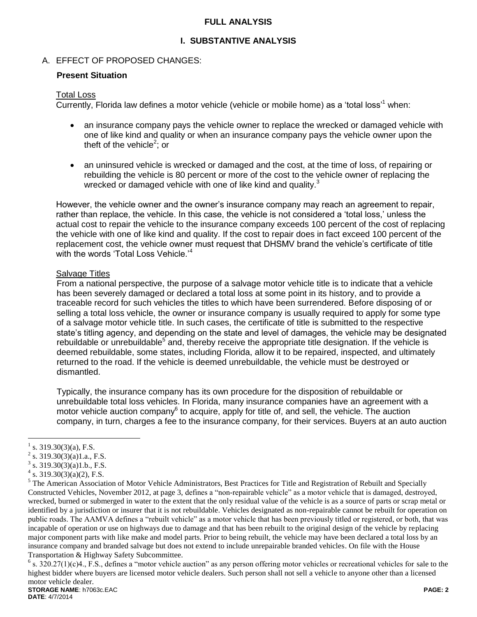#### **FULL ANALYSIS**

### **I. SUBSTANTIVE ANALYSIS**

#### A. EFFECT OF PROPOSED CHANGES:

#### **Present Situation**

#### Total Loss

Currently, Florida law defines a motor vehicle (vehicle or mobile home) as a 'total loss'<sup>1</sup> when:

- an insurance company pays the vehicle owner to replace the wrecked or damaged vehicle with one of like kind and quality or when an insurance company pays the vehicle owner upon the theft of the vehicle<sup>2</sup>; or
- an uninsured vehicle is wrecked or damaged and the cost, at the time of loss, of repairing or rebuilding the vehicle is 80 percent or more of the cost to the vehicle owner of replacing the wrecked or damaged vehicle with one of like kind and quality.<sup>3</sup>

However, the vehicle owner and the owner's insurance company may reach an agreement to repair, rather than replace, the vehicle. In this case, the vehicle is not considered a 'total loss,' unless the actual cost to repair the vehicle to the insurance company exceeds 100 percent of the cost of replacing the vehicle with one of like kind and quality. If the cost to repair does in fact exceed 100 percent of the replacement cost, the vehicle owner must request that DHSMV brand the vehicle's certificate of title with the words 'Total Loss Vehicle.'<sup>4</sup>

#### Salvage Titles

From a national perspective, the purpose of a salvage motor vehicle title is to indicate that a vehicle has been severely damaged or declared a total loss at some point in its history, and to provide a traceable record for such vehicles the titles to which have been surrendered. Before disposing of or selling a total loss vehicle, the owner or insurance company is usually required to apply for some type of a salvage motor vehicle title. In such cases, the certificate of title is submitted to the respective state's titling agency, and depending on the state and level of damages, the vehicle may be designated rebuildable or unrebuildable<sup>5</sup> and, thereby receive the appropriate title designation. If the vehicle is deemed rebuildable, some states, including Florida, allow it to be repaired, inspected, and ultimately returned to the road. If the vehicle is deemed unrebuildable, the vehicle must be destroyed or dismantled.

Typically, the insurance company has its own procedure for the disposition of rebuildable or unrebuildable total loss vehicles. In Florida, many insurance companies have an agreement with a motor vehicle auction company $^6$  to acquire, apply for title of, and sell, the vehicle. The auction company, in turn, charges a fee to the insurance company, for their services. Buyers at an auto auction

 $\overline{a}$ 

<sup>1</sup> s. 319.30(3)(a), F.S.

<sup>&</sup>lt;sup>2</sup> s. 319.30(3)(a)1.a., F.S.

s. 319.30(3)(a)1.b., F.S.

 $4 \text{ s. } 319.30(3)(a)(2)$ , F.S.

<sup>&</sup>lt;sup>5</sup> The American Association of Motor Vehicle Administrators, Best Practices for Title and Registration of Rebuilt and Specially Constructed Vehicles, November 2012, at page 3, defines a "non-repairable vehicle" as a motor vehicle that is damaged, destroyed, wrecked, burned or submerged in water to the extent that the only residual value of the vehicle is as a source of parts or scrap metal or identified by a jurisdiction or insurer that it is not rebuildable. Vehicles designated as non-repairable cannot be rebuilt for operation on public roads. The AAMVA defines a "rebuilt vehicle" as a motor vehicle that has been previously titled or registered, or both, that was incapable of operation or use on highways due to damage and that has been rebuilt to the original design of the vehicle by replacing major component parts with like make and model parts. Prior to being rebuilt, the vehicle may have been declared a total loss by an insurance company and branded salvage but does not extend to include unrepairable branded vehicles. On file with the House Transportation & Highway Safety Subcommittee.

**STORAGE NAME**: h7063c.EAC **PAGE: 2**  $6$  s. 320.27(1)(c)4., F.S., defines a "motor vehicle auction" as any person offering motor vehicles or recreational vehicles for sale to the highest bidder where buyers are licensed motor vehicle dealers. Such person shall not sell a vehicle to anyone other than a licensed motor vehicle dealer.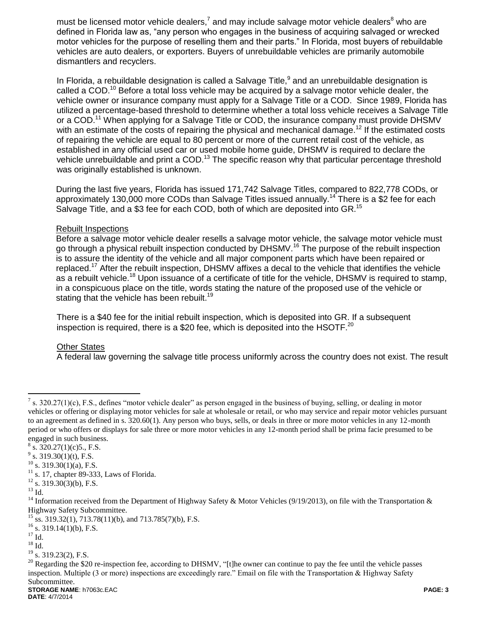must be licensed motor vehicle dealers,<sup>7</sup> and may include salvage motor vehicle dealers<sup>8</sup> who are defined in Florida law as, "any person who engages in the business of acquiring salvaged or wrecked motor vehicles for the purpose of reselling them and their parts." In Florida, most buyers of rebuildable vehicles are auto dealers, or exporters. Buyers of unrebuildable vehicles are primarily automobile dismantlers and recyclers.

In Florida, a rebuildable designation is called a Salvage Title, $9$  and an unrebuildable designation is called a COD.<sup>10</sup> Before a total loss vehicle may be acquired by a salvage motor vehicle dealer, the vehicle owner or insurance company must apply for a Salvage Title or a COD. Since 1989, Florida has utilized a percentage-based threshold to determine whether a total loss vehicle receives a Salvage Title or a COD.<sup>11</sup> When applying for a Salvage Title or COD, the insurance company must provide DHSMV with an estimate of the costs of repairing the physical and mechanical damage.<sup>12</sup> If the estimated costs of repairing the vehicle are equal to 80 percent or more of the current retail cost of the vehicle, as established in any official used car or used mobile home guide, DHSMV is required to declare the vehicle unrebuildable and print a COD.<sup>13</sup> The specific reason why that particular percentage threshold was originally established is unknown.

During the last five years, Florida has issued 171,742 Salvage Titles, compared to 822,778 CODs, or approximately 130,000 more CODs than Salvage Titles issued annually.<sup>14</sup> There is a \$2 fee for each Salvage Title, and a \$3 fee for each COD, both of which are deposited into GR.<sup>15</sup>

### Rebuilt Inspections

Before a salvage motor vehicle dealer resells a salvage motor vehicle, the salvage motor vehicle must go through a physical rebuilt inspection conducted by DHSMV.<sup>16</sup> The purpose of the rebuilt inspection is to assure the identity of the vehicle and all major component parts which have been repaired or replaced.<sup>17</sup> After the rebuilt inspection, DHSMV affixes a decal to the vehicle that identifies the vehicle as a rebuilt vehicle.<sup>18</sup> Upon issuance of a certificate of title for the vehicle, DHSMV is required to stamp, in a conspicuous place on the title, words stating the nature of the proposed use of the vehicle or stating that the vehicle has been rebuilt.<sup>19</sup>

There is a \$40 fee for the initial rebuilt inspection, which is deposited into GR. If a subsequent inspection is required, there is a \$20 fee, which is deposited into the HSOTF.<sup>20</sup>

# Other States

A federal law governing the salvage title process uniformly across the country does not exist. The result

 $\overline{a}$ 

<sup>7</sup> s. 320.27(1)(c), F.S., defines "motor vehicle dealer" as person engaged in the business of buying, selling, or dealing in motor vehicles or offering or displaying motor vehicles for sale at wholesale or retail, or who may service and repair motor vehicles pursuant to an agreement as defined in s. 320.60(1). Any person who buys, sells, or deals in three or more motor vehicles in any 12-month period or who offers or displays for sale three or more motor vehicles in any 12-month period shall be prima facie presumed to be engaged in such business.

 $8\,$  s. 320.27(1)(c)5., F.S.

 $9^9$  s. 319.30(1)(t), F.S.

 $10$  s. 319.30(1)(a), F.S.

 $11$  s. 17, chapter 89-333, Laws of Florida.

 $12$  s. 319.30(3)(b), F.S.

 $^{13}$  Id.

<sup>&</sup>lt;sup>14</sup> Information received from the Department of Highway Safety & Motor Vehicles (9/19/2013), on file with the Transportation & Highway Safety Subcommittee.

<sup>&</sup>lt;sup>15</sup> ss. 319.32(1), 713.78(11)(b), and 713.785(7)(b), F.S.

 $^{16}$  s. 319.14(1)(b), F.S.

 $^{17}$  Id.

 $^{18}$  Id.

 $19\frac{10}{3}$ . 319.23(2), F.S.

 $20$  Regarding the \$20 re-inspection fee, according to DHSMV, "[t]he owner can continue to pay the fee until the vehicle passes inspection. Multiple (3 or more) inspections are exceedingly rare." Email on file with the Transportation & Highway Safety Subcommittee.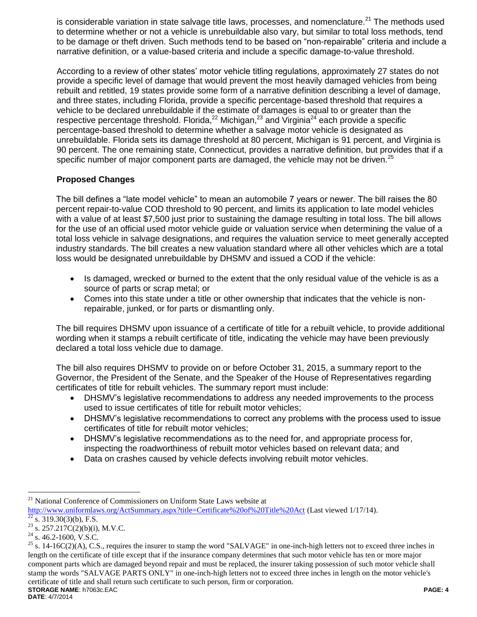is considerable variation in state salvage title laws, processes, and nomenclature.<sup>21</sup> The methods used to determine whether or not a vehicle is unrebuildable also vary, but similar to total loss methods, tend to be damage or theft driven. Such methods tend to be based on "non-repairable" criteria and include a narrative definition, or a value-based criteria and include a specific damage-to-value threshold.

According to a review of other states' motor vehicle titling regulations, approximately 27 states do not provide a specific level of damage that would prevent the most heavily damaged vehicles from being rebuilt and retitled, 19 states provide some form of a narrative definition describing a level of damage, and three states, including Florida, provide a specific percentage-based threshold that requires a vehicle to be declared unrebuildable if the estimate of damages is equal to or greater than the respective percentage threshold. Florida,<sup>22</sup> Michigan,<sup>23</sup> and Virginia<sup>24</sup> each provide a specific percentage-based threshold to determine whether a salvage motor vehicle is designated as unrebuildable. Florida sets its damage threshold at 80 percent, Michigan is 91 percent, and Virginia is 90 percent. The one remaining state, Connecticut, provides a narrative definition, but provides that if a specific number of major component parts are damaged, the vehicle may not be driven.<sup>25</sup>

# **Proposed Changes**

The bill defines a "late model vehicle" to mean an automobile 7 years or newer. The bill raises the 80 percent repair-to-value COD threshold to 90 percent, and limits its application to late model vehicles with a value of at least \$7,500 just prior to sustaining the damage resulting in total loss. The bill allows for the use of an official used motor vehicle guide or valuation service when determining the value of a total loss vehicle in salvage designations, and requires the valuation service to meet generally accepted industry standards. The bill creates a new valuation standard where all other vehicles which are a total loss would be designated unrebuildable by DHSMV and issued a COD if the vehicle:

- Is damaged, wrecked or burned to the extent that the only residual value of the vehicle is as a source of parts or scrap metal; or
- Comes into this state under a title or other ownership that indicates that the vehicle is nonrepairable, junked, or for parts or dismantling only.

The bill requires DHSMV upon issuance of a certificate of title for a rebuilt vehicle, to provide additional wording when it stamps a rebuilt certificate of title, indicating the vehicle may have been previously declared a total loss vehicle due to damage.

The bill also requires DHSMV to provide on or before October 31, 2015, a summary report to the Governor, the President of the Senate, and the Speaker of the House of Representatives regarding certificates of title for rebuilt vehicles. The summary report must include:

- DHSMV's legislative recommendations to address any needed improvements to the process used to issue certificates of title for rebuilt motor vehicles;
- DHSMV's legislative recommendations to correct any problems with the process used to issue certificates of title for rebuilt motor vehicles;
- DHSMV's legislative recommendations as to the need for, and appropriate process for, inspecting the roadworthiness of rebuilt motor vehicles based on relevant data; and
- Data on crashes caused by vehicle defects involving rebuilt motor vehicles.

 $\overline{a}$ 

<sup>&</sup>lt;sup>21</sup> National Conference of Commissioners on Uniform State Laws website at <http://www.uniformlaws.org/ActSummary.aspx?title=Certificate%20of%20Title%20Act> (Last viewed 1/17/14).

s.  $319.30(3)(b)$ , F.S.

 $^{23}$  s. 257.217C(2)(b)(i), M.V.C.

 $24$  s. 46.2-1600, V.S.C.

**STORAGE NAME**: h7063c.EAC **PAGE: 4**  $25$  s. 14-16C(2)(A), C.S., requires the insurer to stamp the word "SALVAGE" in one-inch-high letters not to exceed three inches in length on the certificate of title except that if the insurance company determines that such motor vehicle has ten or more major component parts which are damaged beyond repair and must be replaced, the insurer taking possession of such motor vehicle shall stamp the words "SALVAGE PARTS ONLY" in one-inch-high letters not to exceed three inches in length on the motor vehicle's certificate of title and shall return such certificate to such person, firm or corporation.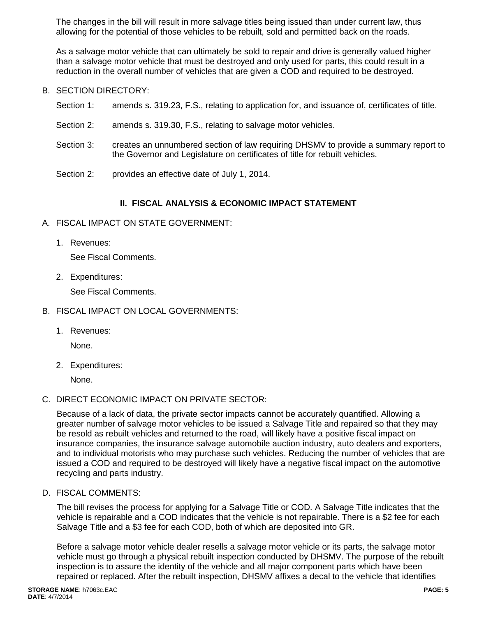The changes in the bill will result in more salvage titles being issued than under current law, thus allowing for the potential of those vehicles to be rebuilt, sold and permitted back on the roads.

As a salvage motor vehicle that can ultimately be sold to repair and drive is generally valued higher than a salvage motor vehicle that must be destroyed and only used for parts, this could result in a reduction in the overall number of vehicles that are given a COD and required to be destroyed.

- B. SECTION DIRECTORY:
	- Section 1: amends s. 319.23, F.S., relating to application for, and issuance of, certificates of title.
	- Section 2: amends s. 319.30, F.S., relating to salvage motor vehicles.
	- Section 3: creates an unnumbered section of law requiring DHSMV to provide a summary report to the Governor and Legislature on certificates of title for rebuilt vehicles.
	- Section 2: provides an effective date of July 1, 2014.

### **II. FISCAL ANALYSIS & ECONOMIC IMPACT STATEMENT**

- A. FISCAL IMPACT ON STATE GOVERNMENT:
	- 1. Revenues:

See Fiscal Comments.

2. Expenditures:

See Fiscal Comments.

- B. FISCAL IMPACT ON LOCAL GOVERNMENTS:
	- 1. Revenues:

None.

2. Expenditures:

None.

C. DIRECT ECONOMIC IMPACT ON PRIVATE SECTOR:

Because of a lack of data, the private sector impacts cannot be accurately quantified. Allowing a greater number of salvage motor vehicles to be issued a Salvage Title and repaired so that they may be resold as rebuilt vehicles and returned to the road, will likely have a positive fiscal impact on insurance companies, the insurance salvage automobile auction industry, auto dealers and exporters, and to individual motorists who may purchase such vehicles. Reducing the number of vehicles that are issued a COD and required to be destroyed will likely have a negative fiscal impact on the automotive recycling and parts industry.

D. FISCAL COMMENTS:

The bill revises the process for applying for a Salvage Title or COD. A Salvage Title indicates that the vehicle is repairable and a COD indicates that the vehicle is not repairable. There is a \$2 fee for each Salvage Title and a \$3 fee for each COD, both of which are deposited into GR.

Before a salvage motor vehicle dealer resells a salvage motor vehicle or its parts, the salvage motor vehicle must go through a physical rebuilt inspection conducted by DHSMV. The purpose of the rebuilt inspection is to assure the identity of the vehicle and all major component parts which have been repaired or replaced. After the rebuilt inspection, DHSMV affixes a decal to the vehicle that identifies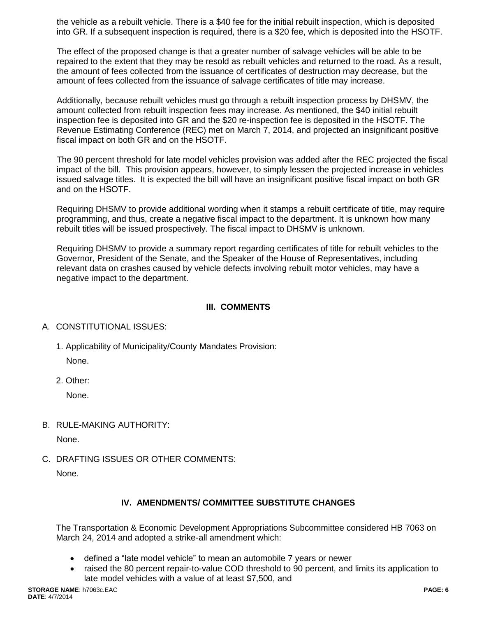the vehicle as a rebuilt vehicle. There is a \$40 fee for the initial rebuilt inspection, which is deposited into GR. If a subsequent inspection is required, there is a \$20 fee, which is deposited into the HSOTF.

The effect of the proposed change is that a greater number of salvage vehicles will be able to be repaired to the extent that they may be resold as rebuilt vehicles and returned to the road. As a result, the amount of fees collected from the issuance of certificates of destruction may decrease, but the amount of fees collected from the issuance of salvage certificates of title may increase.

Additionally, because rebuilt vehicles must go through a rebuilt inspection process by DHSMV, the amount collected from rebuilt inspection fees may increase. As mentioned, the \$40 initial rebuilt inspection fee is deposited into GR and the \$20 re-inspection fee is deposited in the HSOTF. The Revenue Estimating Conference (REC) met on March 7, 2014, and projected an insignificant positive fiscal impact on both GR and on the HSOTF.

The 90 percent threshold for late model vehicles provision was added after the REC projected the fiscal impact of the bill. This provision appears, however, to simply lessen the projected increase in vehicles issued salvage titles. It is expected the bill will have an insignificant positive fiscal impact on both GR and on the HSOTF.

Requiring DHSMV to provide additional wording when it stamps a rebuilt certificate of title, may require programming, and thus, create a negative fiscal impact to the department. It is unknown how many rebuilt titles will be issued prospectively. The fiscal impact to DHSMV is unknown.

Requiring DHSMV to provide a summary report regarding certificates of title for rebuilt vehicles to the Governor, President of the Senate, and the Speaker of the House of Representatives, including relevant data on crashes caused by vehicle defects involving rebuilt motor vehicles, may have a negative impact to the department.

### **III. COMMENTS**

### A. CONSTITUTIONAL ISSUES:

- 1. Applicability of Municipality/County Mandates Provision: None.
- 2. Other:

None.

B. RULE-MAKING AUTHORITY:

None.

C. DRAFTING ISSUES OR OTHER COMMENTS:

None.

# **IV. AMENDMENTS/ COMMITTEE SUBSTITUTE CHANGES**

The Transportation & Economic Development Appropriations Subcommittee considered HB 7063 on March 24, 2014 and adopted a strike-all amendment which:

- defined a "late model vehicle" to mean an automobile 7 years or newer
- raised the 80 percent repair-to-value COD threshold to 90 percent, and limits its application to late model vehicles with a value of at least \$7,500, and